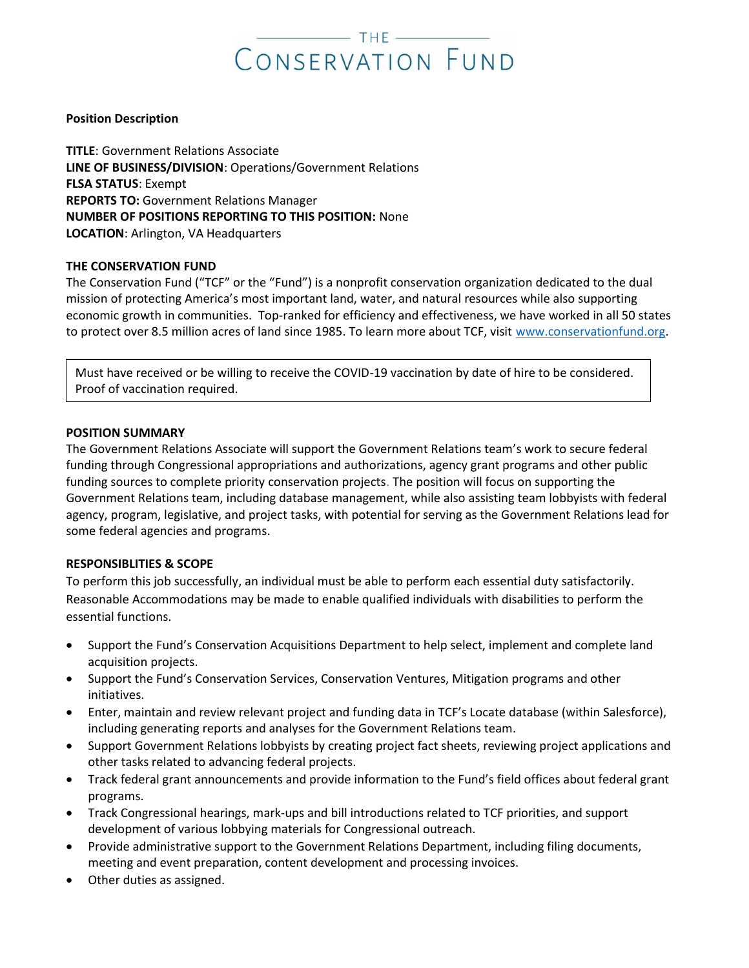# – THE -CONSERVATION FUND

#### Position Description

TITLE: Government Relations Associate LINE OF BUSINESS/DIVISION: Operations/Government Relations FLSA STATUS: Exempt REPORTS TO: Government Relations Manager NUMBER OF POSITIONS REPORTING TO THIS POSITION: None LOCATION: Arlington, VA Headquarters

## THE CONSERVATION FUND

The Conservation Fund ("TCF" or the "Fund") is a nonprofit conservation organization dedicated to the dual mission of protecting America's most important land, water, and natural resources while also supporting economic growth in communities. Top-ranked for efficiency and effectiveness, we have worked in all 50 states to protect over 8.5 million acres of land since 1985. To learn more about TCF, visit www.conservationfund.org.

Must have received or be willing to receive the COVID‐19 vaccination by date of hire to be considered. Proof of vaccination required.

#### POSITION SUMMARY

The Government Relations Associate will support the Government Relations team's work to secure federal funding through Congressional appropriations and authorizations, agency grant programs and other public funding sources to complete priority conservation projects. The position will focus on supporting the Government Relations team, including database management, while also assisting team lobbyists with federal agency, program, legislative, and project tasks, with potential for serving as the Government Relations lead for some federal agencies and programs.

## RESPONSIBLITIES & SCOPE

To perform this job successfully, an individual must be able to perform each essential duty satisfactorily. Reasonable Accommodations may be made to enable qualified individuals with disabilities to perform the essential functions.

- Support the Fund's Conservation Acquisitions Department to help select, implement and complete land acquisition projects.
- Support the Fund's Conservation Services, Conservation Ventures, Mitigation programs and other initiatives.
- Enter, maintain and review relevant project and funding data in TCF's Locate database (within Salesforce), including generating reports and analyses for the Government Relations team.
- Support Government Relations lobbyists by creating project fact sheets, reviewing project applications and other tasks related to advancing federal projects.
- Track federal grant announcements and provide information to the Fund's field offices about federal grant programs.
- Track Congressional hearings, mark‐ups and bill introductions related to TCF priorities, and support development of various lobbying materials for Congressional outreach.
- Provide administrative support to the Government Relations Department, including filing documents, meeting and event preparation, content development and processing invoices.
- Other duties as assigned.